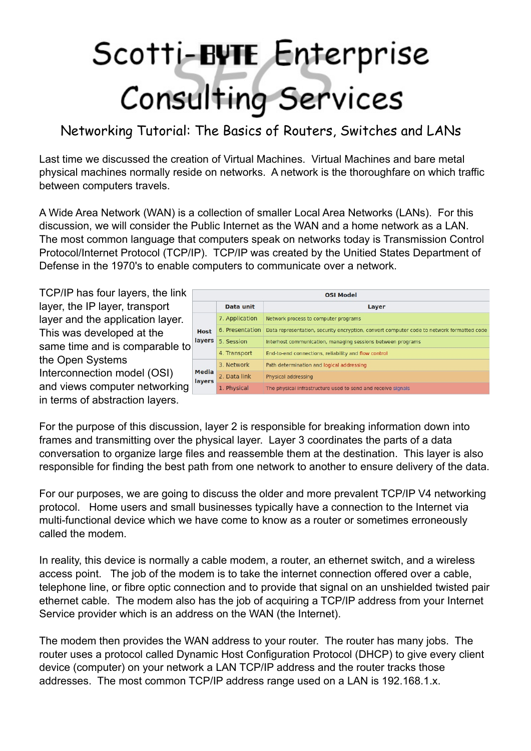## Scotti-BUTE Enterprise<br>Consulting Services

Networking Tutorial: The Basics of Routers, Switches and LANs

Last time we discussed the creation of Virtual Machines. Virtual Machines and bare metal physical machines normally reside on networks. A network is the thoroughfare on which traffic between computers travels.

A Wide Area Network (WAN) is a collection of smaller Local Area Networks (LANs). For this discussion, we will consider the Public Internet as the WAN and a home network as a LAN. The most common language that computers speak on networks today is Transmission Control Protocol/Internet Protocol (TCP/IP). TCP/IP was created by the Unitied States Department of Defense in the 1970's to enable computers to communicate over a network.

TCP/IP has four layers, the link layer, the IP layer, transport layer and the application layer. This was developed at the same time and is comparable to the Open Systems Interconnection model (OSI) and views computer networking in terms of abstraction layers.

| <b>OSI Model</b>             |                 |                                                                                           |  |
|------------------------------|-----------------|-------------------------------------------------------------------------------------------|--|
|                              | Data unit       | Layer                                                                                     |  |
| <b>Host</b><br><b>layers</b> | 7. Application  | Network process to computer programs                                                      |  |
|                              | 6. Presentation | Data representation, security encryption, convert computer code to network formatted code |  |
|                              | 5. Session      | Interhost communication, managing sessions between programs                               |  |
|                              | 4. Transport    | End-to-end connections, reliability and flow control                                      |  |
| <b>Media</b><br>layers       | 3. Network      | Path determination and logical addressing                                                 |  |
|                              | 2. Data link    | Physical addressing                                                                       |  |
|                              | 1. Physical     | The physical infrastructure used to send and receive signals                              |  |

For the purpose of this discussion, layer 2 is responsible for breaking information down into frames and transmitting over the physical layer. Layer 3 coordinates the parts of a data conversation to organize large files and reassemble them at the destination. This layer is also responsible for finding the best path from one network to another to ensure delivery of the data.

For our purposes, we are going to discuss the older and more prevalent TCP/IP V4 networking protocol. Home users and small businesses typically have a connection to the Internet via multi-functional device which we have come to know as a router or sometimes erroneously called the modem.

In reality, this device is normally a cable modem, a router, an ethernet switch, and a wireless access point. The job of the modem is to take the internet connection offered over a cable, telephone line, or fibre optic connection and to provide that signal on an unshielded twisted pair ethernet cable. The modem also has the job of acquiring a TCP/IP address from your Internet Service provider which is an address on the WAN (the Internet).

The modem then provides the WAN address to your router. The router has many jobs. The router uses a protocol called Dynamic Host Configuration Protocol (DHCP) to give every client device (computer) on your network a LAN TCP/IP address and the router tracks those addresses. The most common TCP/IP address range used on a LAN is 192.168.1.x.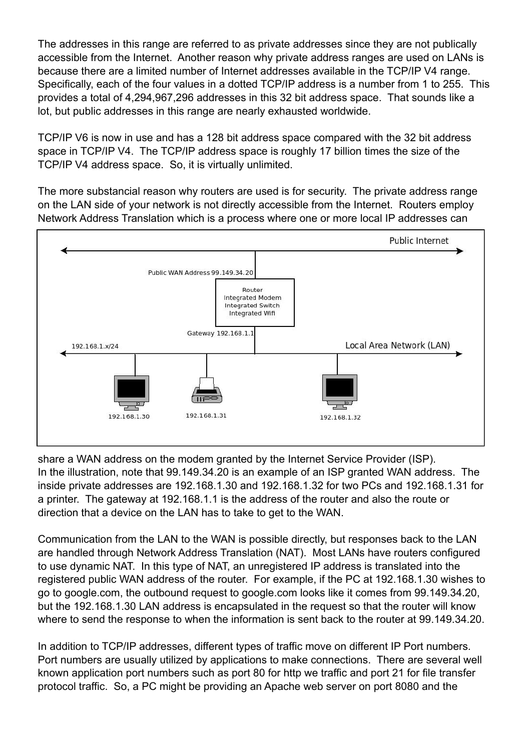The addresses in this range are referred to as private addresses since they are not publically accessible from the Internet. Another reason why private address ranges are used on LANs is because there are a limited number of Internet addresses available in the TCP/IP V4 range. Specifically, each of the four values in a dotted TCP/IP address is a number from 1 to 255. This provides a total of 4,294,967,296 addresses in this 32 bit address space. That sounds like a lot, but public addresses in this range are nearly exhausted worldwide.

TCP/IP V6 is now in use and has a 128 bit address space compared with the 32 bit address space in TCP/IP V4. The TCP/IP address space is roughly 17 billion times the size of the TCP/IP V4 address space. So, it is virtually unlimited.

The more substancial reason why routers are used is for security. The private address range on the LAN side of your network is not directly accessible from the Internet. Routers employ Network Address Translation which is a process where one or more local IP addresses can



share a WAN address on the modem granted by the Internet Service Provider (ISP). In the illustration, note that 99.149.34.20 is an example of an ISP granted WAN address. The inside private addresses are 192.168.1.30 and 192.168.1.32 for two PCs and 192.168.1.31 for a printer. The gateway at 192.168.1.1 is the address of the router and also the route or direction that a device on the LAN has to take to get to the WAN.

Communication from the LAN to the WAN is possible directly, but responses back to the LAN are handled through Network Address Translation (NAT). Most LANs have routers configured to use dynamic NAT. In this type of NAT, an unregistered IP address is translated into the registered public WAN address of the router. For example, if the PC at 192.168.1.30 wishes to go to google.com, the outbound request to google.com looks like it comes from 99.149.34.20, but the 192.168.1.30 LAN address is encapsulated in the request so that the router will know where to send the response to when the information is sent back to the router at 99.149.34.20.

In addition to TCP/IP addresses, different types of traffic move on different IP Port numbers. Port numbers are usually utilized by applications to make connections. There are several well known application port numbers such as port 80 for http we traffic and port 21 for file transfer protocol traffic. So, a PC might be providing an Apache web server on port 8080 and the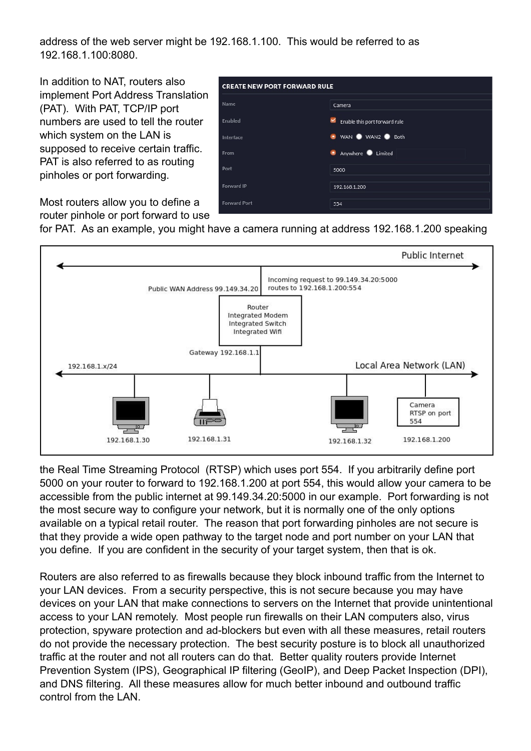address of the web server might be 192.168.1.100. This would be referred to as 192.168.1.100:8080.

In addition to NAT, routers also implement Port Address Translation (PAT). With PAT, TCP/IP port numbers are used to tell the router which system on the LAN is supposed to receive certain traffic. PAT is also referred to as routing pinholes or port forwarding.

| <b>CREATE NEW PORT FORWARD RULE</b> |                                    |  |  |
|-------------------------------------|------------------------------------|--|--|
| Name                                | Camera                             |  |  |
| Enabled                             | ×<br>Enable this port forward rule |  |  |
| Interface                           | ● WAN ● WAN2 ● Both                |  |  |
| From                                | <b>Anywhere</b> Limited            |  |  |
| Port                                | 5000                               |  |  |
| Forward IP                          | 192.168.1.200                      |  |  |
| <b>Forward Port</b>                 | 554                                |  |  |

Most routers allow you to define a router pinhole or port forward to use

for PAT. As an example, you might have a camera running at address 192.168.1.200 speaking



the Real Time Streaming Protocol (RTSP) which uses port 554. If you arbitrarily define port 5000 on your router to forward to 192.168.1.200 at port 554, this would allow your camera to be accessible from the public internet at 99.149.34.20:5000 in our example. Port forwarding is not the most secure way to configure your network, but it is normally one of the only options available on a typical retail router. The reason that port forwarding pinholes are not secure is that they provide a wide open pathway to the target node and port number on your LAN that you define. If you are confident in the security of your target system, then that is ok.

Routers are also referred to as firewalls because they block inbound traffic from the Internet to your LAN devices. From a security perspective, this is not secure because you may have devices on your LAN that make connections to servers on the Internet that provide unintentional access to your LAN remotely. Most people run firewalls on their LAN computers also, virus protection, spyware protection and ad-blockers but even with all these measures, retail routers do not provide the necessary protection. The best security posture is to block all unauthorized traffic at the router and not all routers can do that. Better quality routers provide Internet Prevention System (IPS), Geographical IP filtering (GeoIP), and Deep Packet Inspection (DPI), and DNS filtering. All these measures allow for much better inbound and outbound traffic control from the LAN.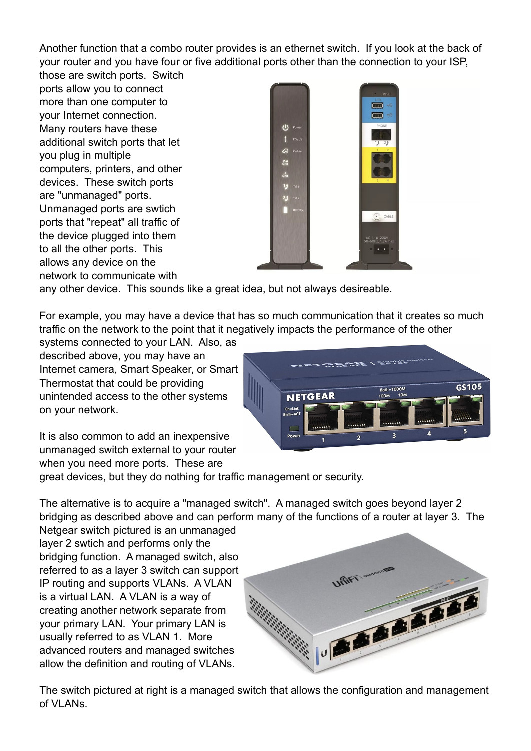Another function that a combo router provides is an ethernet switch. If you look at the back of your router and you have four or five additional ports other than the connection to your ISP,

those are switch ports. Switch ports allow you to connect more than one computer to your Internet connection. Many routers have these additional switch ports that let you plug in multiple computers, printers, and other devices. These switch ports are "unmanaged" ports. Unmanaged ports are swtich ports that "repeat" all traffic of the device plugged into them to all the other ports. This allows any device on the network to communicate with



any other device. This sounds like a great idea, but not always desireable.

For example, you may have a device that has so much communication that it creates so much traffic on the network to the point that it negatively impacts the performance of the other

systems connected to your LAN. Also, as described above, you may have an Internet camera, Smart Speaker, or Smart Thermostat that could be providing unintended access to the other systems on your network.



It is also common to add an inexpensive unmanaged switch external to your router when you need more ports. These are

great devices, but they do nothing for traffic management or security.

The alternative is to acquire a "managed switch". A managed switch goes beyond layer 2 bridging as described above and can perform many of the functions of a router at layer 3. The

Netgear switch pictured is an unmanaged layer 2 swtich and performs only the bridging function. A managed switch, also referred to as a layer 3 switch can support IP routing and supports VLANs. A VLAN is a virtual LAN. A VLAN is a way of creating another network separate from your primary LAN. Your primary LAN is usually referred to as VLAN 1. More advanced routers and managed switches allow the definition and routing of VLANs.



The switch pictured at right is a managed switch that allows the configuration and management of VI ANs